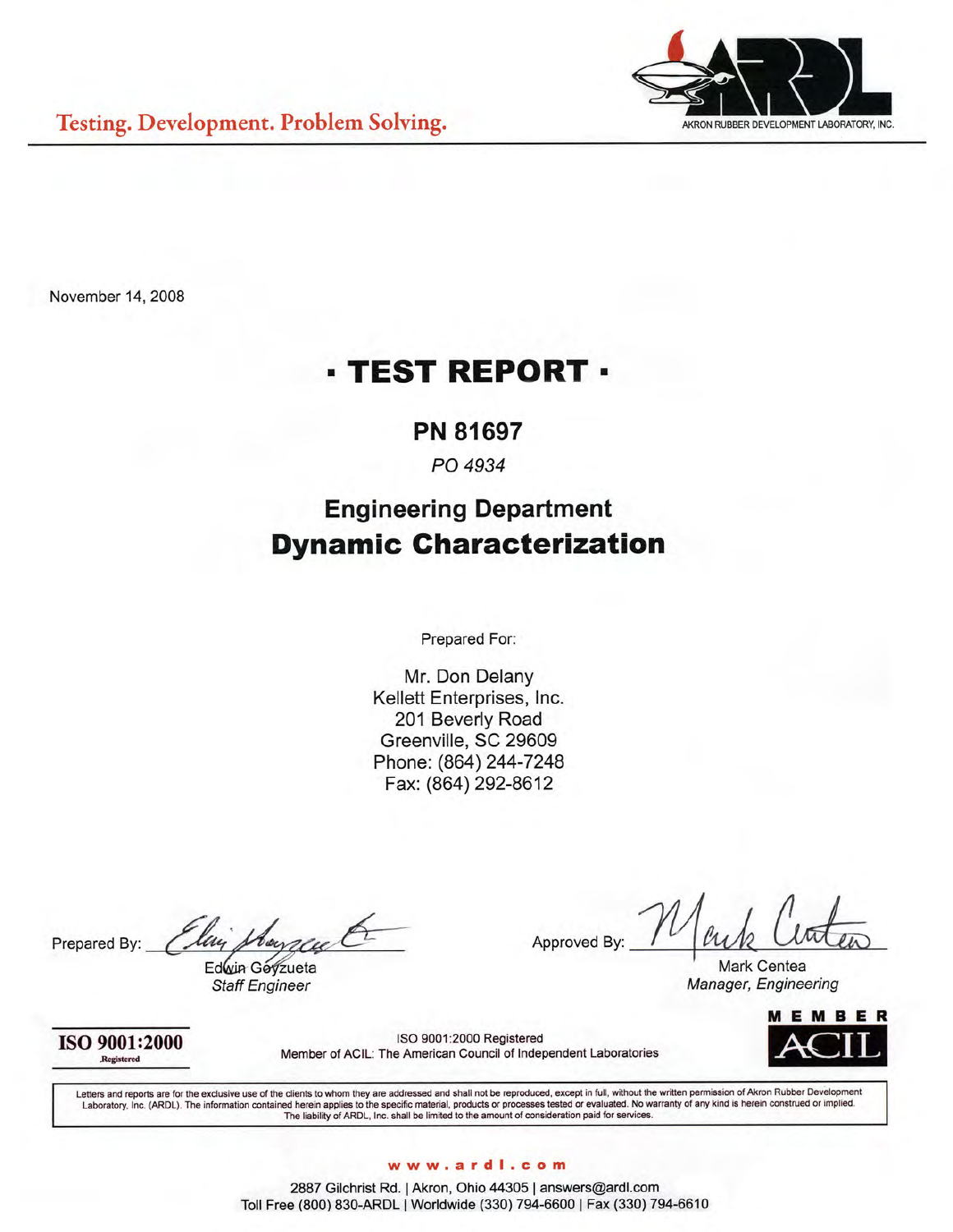

November 14, 2008

# **· TEST REPORT ·**

### **PN 81697**

PO 4934

# **Engineering Department Dynamic Characterization**

Prepared For:

Mr. Don Delany Kellett Enterprises, Inc. 201 Beverly Road Greenville, SC 29609 Phone: (864) 244-7248 Fax: (864) 292-8612

Prepared By:

luu

Edwin Goyzueta **Staff Engineer** 

Approved By:

**Mark Centea** Manager, Engineering

ISO 9001:2000 Registered

ISO 9001:2000 Registered Member of ACIL: The American Council of Independent Laboratories



Letters and reports are for the exclusive use of the clients to whom they are addressed and shall not be reproduced, except in full, without the written permission of Akron Rubber Development Laboratory, Inc. (ARDL). The information contained herein applies to the specific material, products or processes tested or evaluated. No warranty of any kind is herein construed or implied.<br>The liability of ARDL, Inc. sha

#### www.ardl.com

2887 Gilchrist Rd. | Akron, Ohio 44305 | answers@ardl.com Toll Free (800) 830-ARDL | Worldwide (330) 794-6600 | Fax (330) 794-6610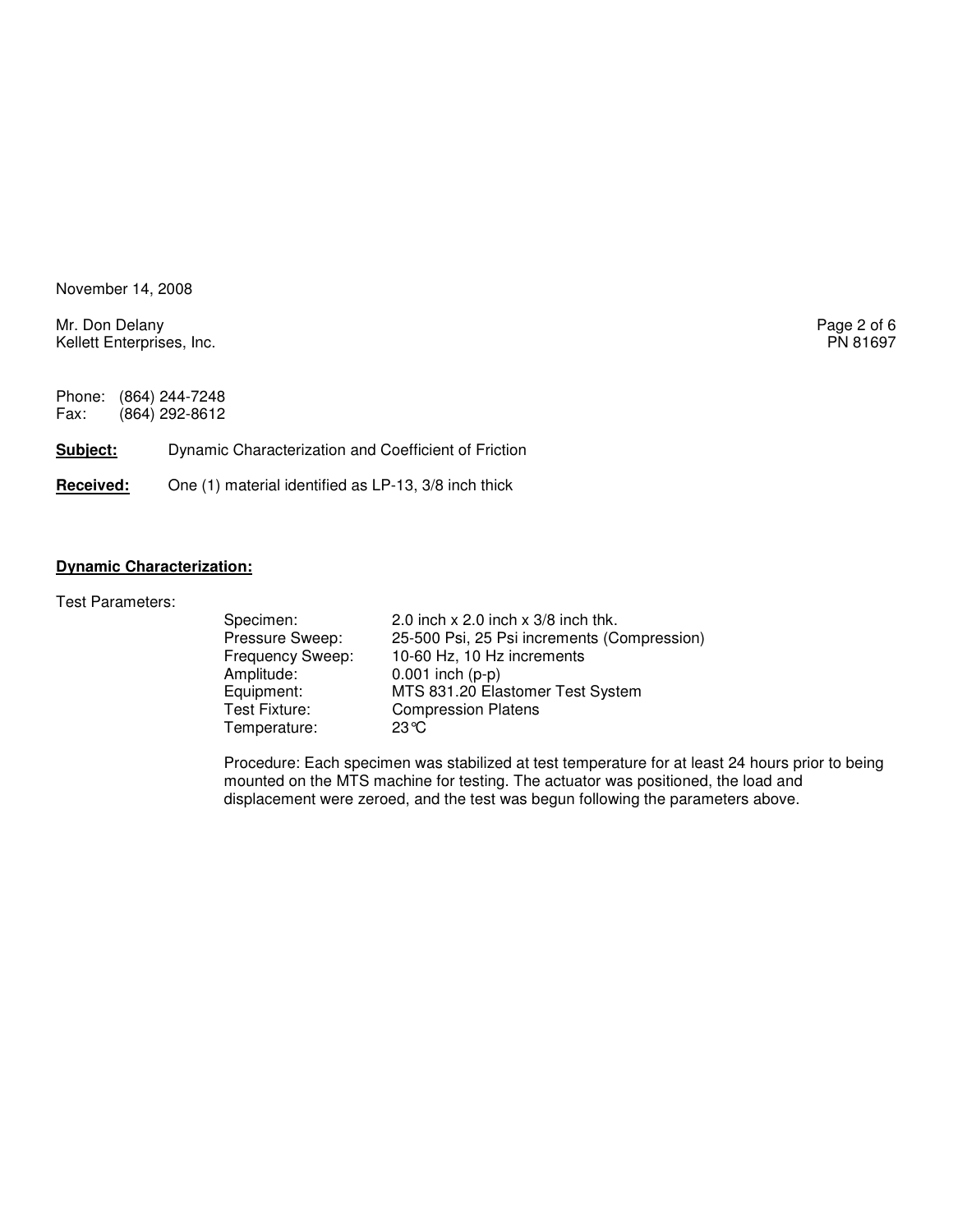November 14, 2008

Mr. Don Delany Page 2 of 6<br>
Rellett Enterprises, Inc. 2006 Kellett Enterprises, Inc.

Phone: (864) 244-7248<br>Fax: (864) 292-8612 (864) 292-8612

**Subject:** Dynamic Characterization and Coefficient of Friction

**Received:** One (1) material identified as LP-13, 3/8 inch thick

#### **Dynamic Characterization:**

Test Parameters:

| Specimen:        | 2.0 inch $x$ 2.0 inch $x$ 3/8 inch thk.     |
|------------------|---------------------------------------------|
| Pressure Sweep:  | 25-500 Psi, 25 Psi increments (Compression) |
| Frequency Sweep: | 10-60 Hz, 10 Hz increments                  |
| Amplitude:       | $0.001$ inch (p-p)                          |
| Equipment:       | MTS 831.20 Elastomer Test System            |
| Test Fixture:    | <b>Compression Platens</b>                  |
| Temperature:     | $23^\circ \text{C}$                         |

Procedure: Each specimen was stabilized at test temperature for at least 24 hours prior to being mounted on the MTS machine for testing. The actuator was positioned, the load and displacement were zeroed, and the test was begun following the parameters above.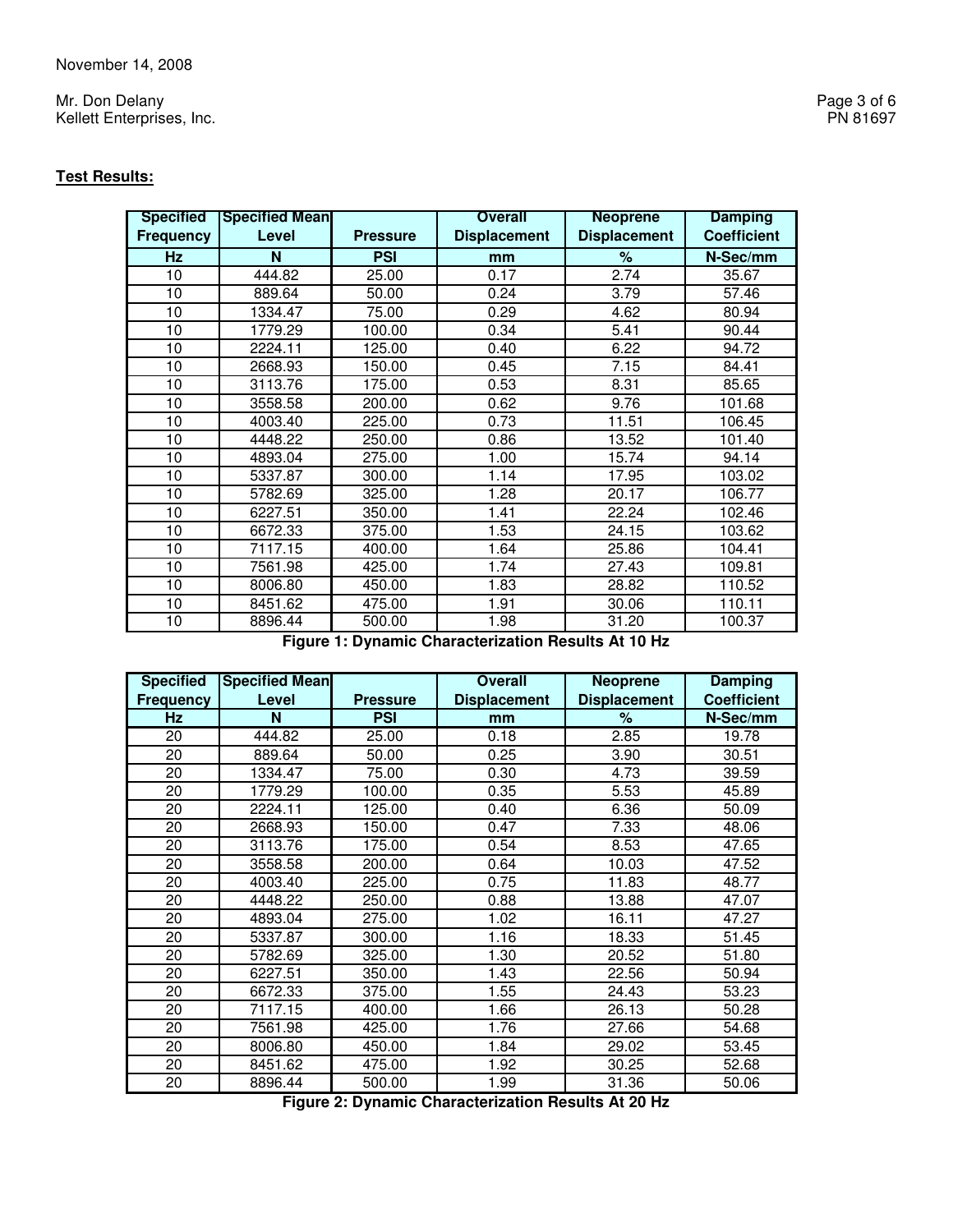Mr. Don Delany Page 3 of 6 Kellett Enterprises, Inc. PN 81697

### **Test Results:**

| <b>Specified</b> | <b>Specified Mean</b> |                 | <b>Overall</b>      | <b>Neoprene</b>     | <b>Damping</b>     |
|------------------|-----------------------|-----------------|---------------------|---------------------|--------------------|
| <b>Frequency</b> | Level                 | <b>Pressure</b> | <b>Displacement</b> | <b>Displacement</b> | <b>Coefficient</b> |
| <b>Hz</b>        | N                     | <b>PSI</b>      | mm                  | %                   | N-Sec/mm           |
| 10               | 444.82                | 25.00           | 0.17                | 2.74                | 35.67              |
| 10               | 889.64                | 50.00           | 0.24                | 3.79                | 57.46              |
| 10               | 1334.47               | 75.00           | 0.29                | 4.62                | 80.94              |
| 10               | 1779.29               | 100.00          | 0.34                | 5.41                | 90.44              |
| 10               | 2224.11               | 125.00          | 0.40                | 6.22                | 94.72              |
| 10               | 2668.93               | 150.00          | 0.45                | 7.15                | 84.41              |
| 10               | 3113.76               | 175.00          | 0.53                | 8.31                | 85.65              |
| 10               | 3558.58               | 200.00          | 0.62                | 9.76                | 101.68             |
| 10               | 4003.40               | 225.00          | 0.73                | 11.51               | 106.45             |
| 10               | 4448.22               | 250.00          | 0.86                | 13.52               | 101.40             |
| 10               | 4893.04               | 275.00          | 1.00                | 15.74               | 94.14              |
| 10               | 5337.87               | 300.00          | 1.14                | 17.95               | 103.02             |
| 10               | 5782.69               | 325.00          | 1.28                | 20.17               | 106.77             |
| 10               | 6227.51               | 350.00          | 1.41                | 22.24               | 102.46             |
| 10               | 6672.33               | 375.00          | 1.53                | 24.15               | 103.62             |
| 10               | 7117.15               | 400.00          | 1.64                | 25.86               | 104.41             |
| 10               | 7561.98               | 425.00          | 1.74                | 27.43               | 109.81             |
| 10               | 8006.80               | 450.00          | 1.83                | 28.82               | 110.52             |
| 10               | 8451.62               | 475.00          | 1.91                | 30.06               | 110.11             |
| 10               | 8896.44               | 500.00          | 1.98                | 31.20               | 100.37             |

**Figure 1: Dynamic Characterization Results At 10 Hz** 

| <b>Specified</b> | <b>Specified Mean</b> |                 | <b>Overall</b>      | <b>Neoprene</b>     | <b>Damping</b>     |
|------------------|-----------------------|-----------------|---------------------|---------------------|--------------------|
| <b>Frequency</b> | <b>Level</b>          | <b>Pressure</b> | <b>Displacement</b> | <b>Displacement</b> | <b>Coefficient</b> |
| <b>Hz</b>        | N                     | <b>PSI</b>      | mm                  | $\%$                | N-Sec/mm           |
| 20               | 444.82                | 25.00           | 0.18                | 2.85                | 19.78              |
| 20               | 889.64                | 50.00           | 0.25                | 3.90                | 30.51              |
| 20               | 1334.47               | 75.00           | 0.30                | 4.73                | 39.59              |
| 20               | 1779.29               | 100.00          | 0.35                | 5.53                | 45.89              |
| 20               | 2224.11               | 125.00          | 0.40                | 6.36                | 50.09              |
| 20               | 2668.93               | 150.00          | 0.47                | 7.33                | 48.06              |
| 20               | 3113.76               | 175.00          | 0.54                | 8.53                | 47.65              |
| 20               | 3558.58               | 200.00          | 0.64                | 10.03               | 47.52              |
| 20               | 4003.40               | 225.00          | 0.75                | 11.83               | 48.77              |
| 20               | 4448.22               | 250.00          | 0.88                | 13.88               | 47.07              |
| 20               | 4893.04               | 275.00          | 1.02                | 16.11               | 47.27              |
| 20               | 5337.87               | 300.00          | 1.16                | 18.33               | 51.45              |
| 20               | 5782.69               | 325.00          | 1.30                | 20.52               | 51.80              |
| 20               | 6227.51               | 350.00          | 1.43                | 22.56               | 50.94              |
| 20               | 6672.33               | 375.00          | 1.55                | 24.43               | 53.23              |
| 20               | 7117.15               | 400.00          | 1.66                | 26.13               | 50.28              |
| 20               | 7561.98               | 425.00          | 1.76                | 27.66               | 54.68              |
| 20               | 8006.80               | 450.00          | 1.84                | 29.02               | 53.45              |
| 20               | 8451.62               | 475.00          | 1.92                | 30.25               | 52.68              |
| 20               | 8896.44               | 500.00          | 1.99                | 31.36               | 50.06              |

**Figure 2: Dynamic Characterization Results At 20 Hz**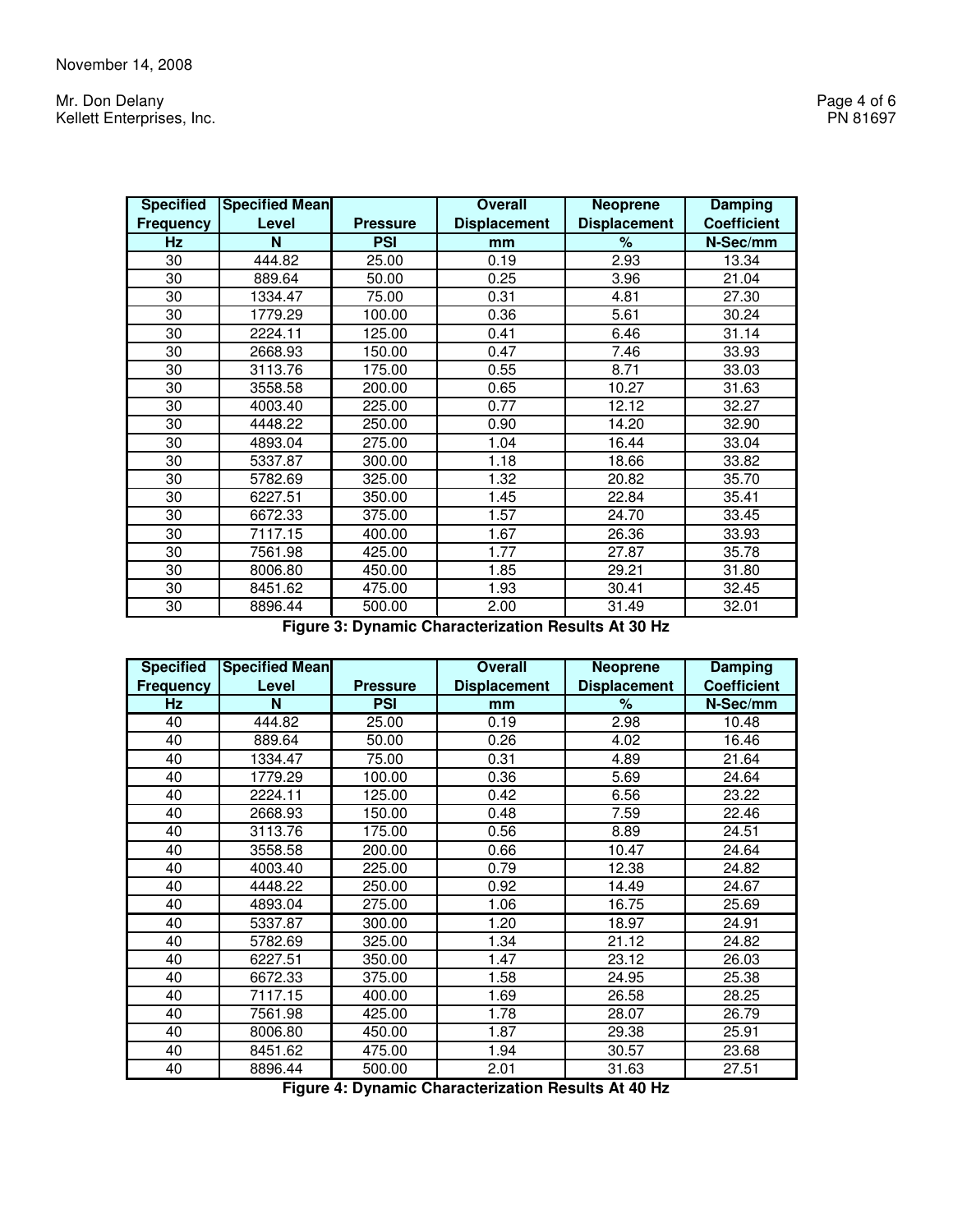Mr. Don Delany Page 4 of 6<br>
Kellett Enterprises, Inc. 2006 Kellett Enterprises, Inc.

| <b>Specified</b> | <b>Specified Mean</b> |                 | <b>Overall</b>      | <b>Neoprene</b>     | <b>Damping</b>     |
|------------------|-----------------------|-----------------|---------------------|---------------------|--------------------|
| <b>Frequency</b> | Level                 | <b>Pressure</b> | <b>Displacement</b> | <b>Displacement</b> | <b>Coefficient</b> |
| <b>Hz</b>        | N                     | <b>PSI</b>      | mm                  | %                   | N-Sec/mm           |
| 30               | 444.82                | 25.00           | 0.19                | 2.93                | 13.34              |
| 30               | 889.64                | 50.00           | 0.25                | 3.96                | 21.04              |
| 30               | 1334.47               | 75.00           | 0.31                | 4.81                | 27.30              |
| 30               | 1779.29               | 100.00          | 0.36                | 5.61                | 30.24              |
| 30               | 2224.11               | 125.00          | 0.41                | 6.46                | 31.14              |
| 30               | 2668.93               | 150.00          | 0.47                | 7.46                | 33.93              |
| 30               | 3113.76               | 175.00          | 0.55                | 8.71                | 33.03              |
| 30               | 3558.58               | 200.00          | 0.65                | 10.27               | 31.63              |
| 30               | 4003.40               | 225.00          | 0.77                | 12.12               | 32.27              |
| 30               | 4448.22               | 250.00          | 0.90                | 14.20               | 32.90              |
| 30               | 4893.04               | 275.00          | 1.04                | 16.44               | 33.04              |
| 30               | 5337.87               | 300.00          | 1.18                | 18.66               | 33.82              |
| 30               | 5782.69               | 325.00          | 1.32                | 20.82               | 35.70              |
| 30               | 6227.51               | 350.00          | 1.45                | 22.84               | 35.41              |
| 30               | 6672.33               | 375.00          | 1.57                | 24.70               | 33.45              |
| 30               | 7117.15               | 400.00          | 1.67                | 26.36               | 33.93              |
| 30               | 7561.98               | 425.00          | 1.77                | 27.87               | 35.78              |
| 30               | 8006.80               | 450.00          | 1.85                | 29.21               | 31.80              |
| 30               | 8451.62               | 475.00          | 1.93                | 30.41               | 32.45              |
| 30               | 8896.44               | 500.00          | 2.00                | 31.49               | 32.01              |

**Figure 3: Dynamic Characterization Results At 30 Hz** 

| <b>Specified</b> | <b>Specified Mean</b> |                 | <b>Overall</b>      | <b>Neoprene</b>     | <b>Damping</b>     |
|------------------|-----------------------|-----------------|---------------------|---------------------|--------------------|
| <b>Frequency</b> | Level                 | <b>Pressure</b> | <b>Displacement</b> | <b>Displacement</b> | <b>Coefficient</b> |
| <b>Hz</b>        | N                     | <b>PSI</b>      | mm                  | %                   | N-Sec/mm           |
| 40               | 444.82                | 25.00           | 0.19                | 2.98                | 10.48              |
| 40               | 889.64                | 50.00           | 0.26                | 4.02                | 16.46              |
| 40               | 1334.47               | 75.00           | 0.31                | 4.89                | 21.64              |
| 40               | 1779.29               | 100.00          | 0.36                | 5.69                | 24.64              |
| 40               | 2224.11               | 125.00          | 0.42                | 6.56                | 23.22              |
| 40               | 2668.93               | 150.00          | 0.48                | 7.59                | 22.46              |
| 40               | 3113.76               | 175.00          | 0.56                | 8.89                | 24.51              |
| 40               | 3558.58               | 200.00          | 0.66                | 10.47               | 24.64              |
| 40               | 4003.40               | 225.00          | 0.79                | 12.38               | 24.82              |
| 40               | 4448.22               | 250.00          | 0.92                | 14.49               | 24.67              |
| 40               | 4893.04               | 275.00          | 1.06                | 16.75               | 25.69              |
| 40               | 5337.87               | 300.00          | 1.20                | 18.97               | 24.91              |
| 40               | 5782.69               | 325.00          | 1.34                | 21.12               | 24.82              |
| 40               | 6227.51               | 350.00          | 1.47                | 23.12               | 26.03              |
| 40               | 6672.33               | 375.00          | 1.58                | 24.95               | 25.38              |
| 40               | 7117.15               | 400.00          | 1.69                | 26.58               | 28.25              |
| 40               | 7561.98               | 425.00          | 1.78                | 28.07               | 26.79              |
| 40               | 8006.80               | 450.00          | 1.87                | 29.38               | 25.91              |
| 40               | 8451.62               | 475.00          | 1.94                | 30.57               | 23.68              |
| 40               | 8896.44               | 500.00          | 2.01                | 31.63               | 27.51              |

**Figure 4: Dynamic Characterization Results At 40 Hz**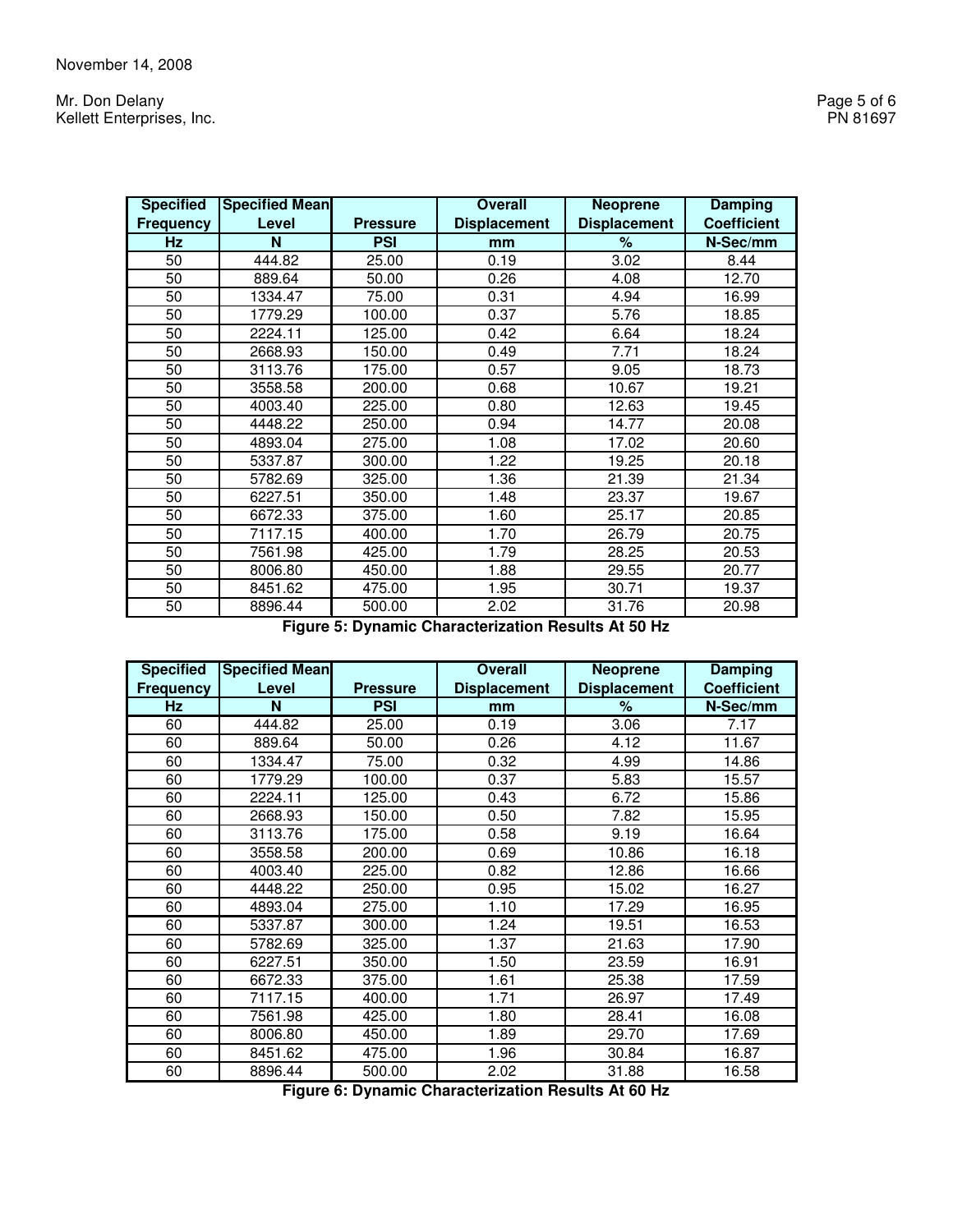Mr. Don Delany Page 5 of 6<br>
Kellett Enterprises, Inc. 2008 and 2009 and 2009 and 2009 and 2009 and 2009 and 2009 and 2009 and 2009 and 20<br>
PN 81697 Kellett Enterprises, Inc.

| <b>Specified</b> | <b>Specified Mean</b> |                 | <b>Overall</b>      | <b>Neoprene</b>     | <b>Damping</b>     |
|------------------|-----------------------|-----------------|---------------------|---------------------|--------------------|
| <b>Frequency</b> | Level                 | <b>Pressure</b> | <b>Displacement</b> | <b>Displacement</b> | <b>Coefficient</b> |
| <b>Hz</b>        | N                     | <b>PSI</b>      | mm                  | %                   | N-Sec/mm           |
| 50               | 444.82                | 25.00           | 0.19                | 3.02                | 8.44               |
| 50               | 889.64                | 50.00           | 0.26                | 4.08                | 12.70              |
| 50               | 1334.47               | 75.00           | 0.31                | 4.94                | 16.99              |
| 50               | 1779.29               | 100.00          | 0.37                | 5.76                | 18.85              |
| 50               | 2224.11               | 125.00          | 0.42                | 6.64                | 18.24              |
| 50               | 2668.93               | 150.00          | 0.49                | 7.71                | 18.24              |
| 50               | 3113.76               | 175.00          | 0.57                | 9.05                | 18.73              |
| 50               | 3558.58               | 200.00          | 0.68                | 10.67               | 19.21              |
| 50               | 4003.40               | 225.00          | 0.80                | 12.63               | 19.45              |
| 50               | 4448.22               | 250.00          | 0.94                | 14.77               | 20.08              |
| 50               | 4893.04               | 275.00          | 1.08                | 17.02               | 20.60              |
| 50               | 5337.87               | 300.00          | 1.22                | 19.25               | 20.18              |
| 50               | 5782.69               | 325.00          | 1.36                | 21.39               | 21.34              |
| 50               | 6227.51               | 350.00          | 1.48                | 23.37               | 19.67              |
| 50               | 6672.33               | 375.00          | 1.60                | 25.17               | 20.85              |
| 50               | 7117.15               | 400.00          | 1.70                | 26.79               | 20.75              |
| 50               | 7561.98               | 425.00          | 1.79                | 28.25               | 20.53              |
| 50               | 8006.80               | 450.00          | 1.88                | 29.55               | 20.77              |
| 50               | 8451.62               | 475.00          | 1.95                | 30.71               | 19.37              |
| 50               | 8896.44               | 500.00          | 2.02                | 31.76               | 20.98              |

**Figure 5: Dynamic Characterization Results At 50 Hz** 

| <b>Specified</b> | <b>Specified Mean</b> |                 | <b>Overall</b>      | <b>Neoprene</b>     | <b>Damping</b>     |
|------------------|-----------------------|-----------------|---------------------|---------------------|--------------------|
| <b>Frequency</b> | Level                 | <b>Pressure</b> | <b>Displacement</b> | <b>Displacement</b> | <b>Coefficient</b> |
| <b>Hz</b>        | N                     | <b>PSI</b>      | mm                  | %                   | N-Sec/mm           |
| 60               | 444.82                | 25.00           | 0.19                | 3.06                | 7.17               |
| 60               | 889.64                | 50.00           | 0.26                | 4.12                | 11.67              |
| 60               | 1334.47               | 75.00           | 0.32                | 4.99                | 14.86              |
| 60               | 1779.29               | 100.00          | 0.37                | 5.83                | 15.57              |
| 60               | 2224.11               | 125.00          | 0.43                | 6.72                | 15.86              |
| 60               | 2668.93               | 150.00          | 0.50                | 7.82                | 15.95              |
| 60               | 3113.76               | 175.00          | 0.58                | 9.19                | 16.64              |
| 60               | 3558.58               | 200.00          | 0.69                | 10.86               | 16.18              |
| 60               | 4003.40               | 225.00          | 0.82                | 12.86               | 16.66              |
| 60               | 4448.22               | 250.00          | 0.95                | 15.02               | 16.27              |
| 60               | 4893.04               | 275.00          | 1.10                | 17.29               | 16.95              |
| 60               | 5337.87               | 300.00          | 1.24                | 19.51               | 16.53              |
| 60               | 5782.69               | 325.00          | 1.37                | 21.63               | 17.90              |
| 60               | 6227.51               | 350.00          | 1.50                | 23.59               | 16.91              |
| 60               | 6672.33               | 375.00          | 1.61                | 25.38               | 17.59              |
| 60               | 7117.15               | 400.00          | 1.71                | 26.97               | 17.49              |
| 60               | 7561.98               | 425.00          | 1.80                | 28.41               | 16.08              |
| 60               | 8006.80               | 450.00          | 1.89                | 29.70               | 17.69              |
| 60               | 8451.62               | 475.00          | 1.96                | 30.84               | 16.87              |
| 60               | 8896.44               | 500.00          | 2.02                | 31.88               | 16.58              |

**Figure 6: Dynamic Characterization Results At 60 Hz**